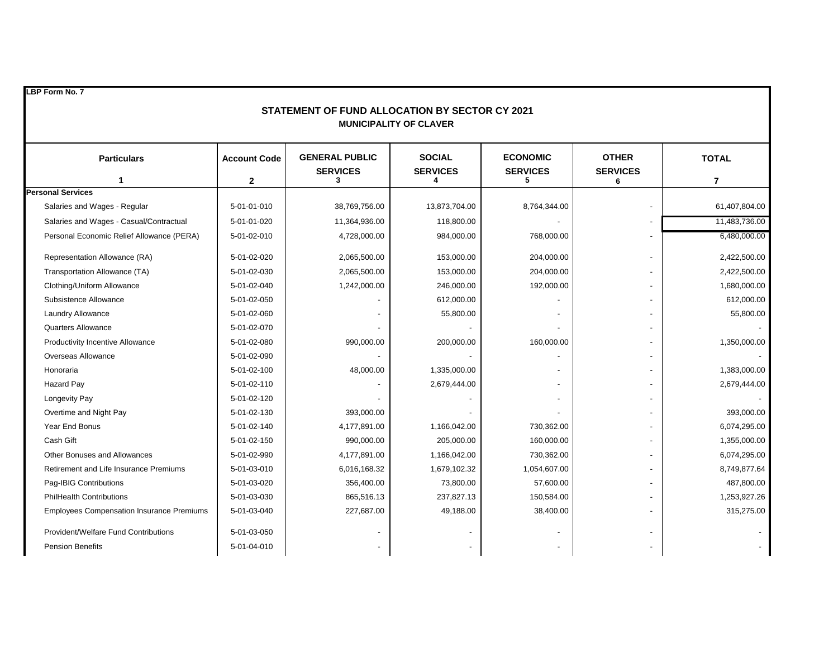| LBP Form No. 7<br>STATEMENT OF FUND ALLOCATION BY SECTOR CY 2021<br><b>MUNICIPALITY OF CLAVER</b> |                     |                                          |                                  |                                    |                                 |                |
|---------------------------------------------------------------------------------------------------|---------------------|------------------------------------------|----------------------------------|------------------------------------|---------------------------------|----------------|
| <b>Particulars</b>                                                                                | <b>Account Code</b> | <b>GENERAL PUBLIC</b><br><b>SERVICES</b> | <b>SOCIAL</b><br><b>SERVICES</b> | <b>ECONOMIC</b><br><b>SERVICES</b> | <b>OTHER</b><br><b>SERVICES</b> | <b>TOTAL</b>   |
| 1                                                                                                 | $\mathbf{2}$        | 3                                        | 4                                | 5                                  | 6                               | $\overline{7}$ |
| <b>Personal Services</b>                                                                          |                     |                                          |                                  |                                    |                                 |                |
| Salaries and Wages - Regular                                                                      | 5-01-01-010         | 38,769,756.00                            | 13,873,704.00                    | 8,764,344.00                       |                                 | 61,407,804.00  |
| Salaries and Wages - Casual/Contractual                                                           | 5-01-01-020         | 11,364,936.00                            | 118,800.00                       |                                    |                                 | 11,483,736.00  |
| Personal Economic Relief Allowance (PERA)                                                         | 5-01-02-010         | 4,728,000.00                             | 984,000.00                       | 768,000.00                         |                                 | 6,480,000.00   |
| Representation Allowance (RA)                                                                     | 5-01-02-020         | 2,065,500.00                             | 153,000.00                       | 204,000.00                         |                                 | 2,422,500.00   |
| Transportation Allowance (TA)                                                                     | 5-01-02-030         | 2,065,500.00                             | 153,000.00                       | 204,000.00                         |                                 | 2,422,500.00   |
| Clothing/Uniform Allowance                                                                        | 5-01-02-040         | 1,242,000.00                             | 246,000.00                       | 192,000.00                         |                                 | 1,680,000.00   |
| Subsistence Allowance                                                                             | 5-01-02-050         |                                          | 612,000.00                       |                                    |                                 | 612,000.00     |
| Laundry Allowance                                                                                 | 5-01-02-060         |                                          | 55,800.00                        |                                    |                                 | 55,800.00      |
| <b>Quarters Allowance</b>                                                                         | 5-01-02-070         |                                          |                                  |                                    |                                 |                |
| Productivity Incentive Allowance                                                                  | 5-01-02-080         | 990,000.00                               | 200,000.00                       | 160,000.00                         |                                 | 1,350,000.00   |
| Overseas Allowance                                                                                | 5-01-02-090         |                                          |                                  |                                    |                                 |                |
| Honoraria                                                                                         | 5-01-02-100         | 48,000.00                                | 1,335,000.00                     |                                    |                                 | 1,383,000.00   |
| Hazard Pay                                                                                        | 5-01-02-110         |                                          | 2,679,444.00                     |                                    |                                 | 2,679,444.00   |
| <b>Longevity Pay</b>                                                                              | 5-01-02-120         |                                          |                                  |                                    |                                 |                |
| Overtime and Night Pay                                                                            | 5-01-02-130         | 393,000.00                               |                                  |                                    |                                 | 393,000.00     |
| Year End Bonus                                                                                    | 5-01-02-140         | 4,177,891.00                             | 1,166,042.00                     | 730,362.00                         |                                 | 6,074,295.00   |
| Cash Gift                                                                                         | 5-01-02-150         | 990,000.00                               | 205,000.00                       | 160,000.00                         |                                 | 1,355,000.00   |
| Other Bonuses and Allowances                                                                      | 5-01-02-990         | 4,177,891.00                             | 1,166,042.00                     | 730,362.00                         |                                 | 6,074,295.00   |
| Retirement and Life Insurance Premiums                                                            | 5-01-03-010         | 6,016,168.32                             | 1,679,102.32                     | 1,054,607.00                       |                                 | 8,749,877.64   |
| Pag-IBIG Contributions                                                                            | 5-01-03-020         | 356,400.00                               | 73,800.00                        | 57,600.00                          |                                 | 487,800.00     |
| <b>PhilHealth Contributions</b>                                                                   | 5-01-03-030         | 865,516.13                               | 237,827.13                       | 150,584.00                         |                                 | 1,253,927.26   |
| <b>Employees Compensation Insurance Premiums</b>                                                  | 5-01-03-040         | 227,687.00                               | 49,188.00                        | 38,400.00                          |                                 | 315,275.00     |
| Provident/Welfare Fund Contributions                                                              | 5-01-03-050         |                                          |                                  |                                    |                                 |                |
| <b>Pension Benefits</b>                                                                           | 5-01-04-010         |                                          |                                  |                                    |                                 |                |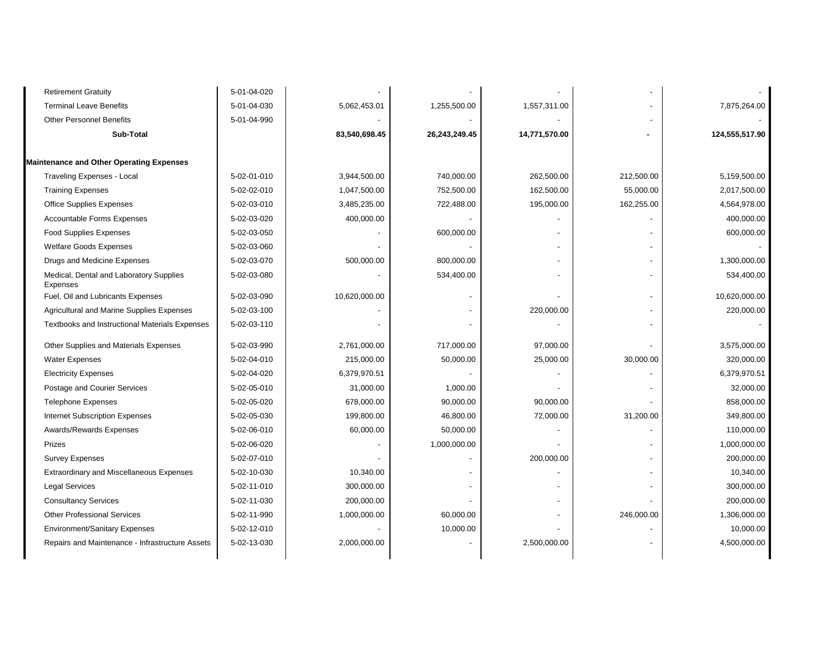| <b>Retirement Gratuity</b>                            | 5-01-04-020 |               |               |               |                |                |
|-------------------------------------------------------|-------------|---------------|---------------|---------------|----------------|----------------|
| <b>Terminal Leave Benefits</b>                        | 5-01-04-030 | 5,062,453.01  | 1,255,500.00  | 1,557,311.00  |                | 7,875,264.00   |
| <b>Other Personnel Benefits</b>                       | 5-01-04-990 |               |               |               |                |                |
| Sub-Total                                             |             | 83,540,698.45 | 26,243,249.45 | 14,771,570.00 |                | 124,555,517.90 |
| <b>Maintenance and Other Operating Expenses</b>       |             |               |               |               |                |                |
| <b>Traveling Expenses - Local</b>                     | 5-02-01-010 | 3,944,500.00  | 740,000.00    | 262,500.00    | 212,500.00     | 5,159,500.00   |
| <b>Training Expenses</b>                              | 5-02-02-010 | 1,047,500.00  | 752,500.00    | 162,500.00    | 55,000.00      | 2,017,500.00   |
| <b>Office Supplies Expenses</b>                       | 5-02-03-010 | 3,485,235.00  | 722,488.00    | 195,000.00    | 162,255.00     | 4,564,978.00   |
| <b>Accountable Forms Expenses</b>                     | 5-02-03-020 | 400,000.00    |               |               |                | 400,000.00     |
| <b>Food Supplies Expenses</b>                         | 5-02-03-050 |               | 600,000.00    |               |                | 600,000.00     |
| <b>Welfare Goods Expenses</b>                         | 5-02-03-060 |               |               |               |                |                |
| Drugs and Medicine Expenses                           | 5-02-03-070 | 500,000.00    | 800,000.00    |               |                | 1,300,000.00   |
| Medical, Dental and Laboratory Supplies<br>Expenses   | 5-02-03-080 |               | 534,400.00    |               | $\overline{a}$ | 534,400.00     |
| Fuel, Oil and Lubricants Expenses                     | 5-02-03-090 | 10,620,000.00 |               |               |                | 10,620,000.00  |
| Agricultural and Marine Supplies Expenses             | 5-02-03-100 |               |               | 220,000.00    |                | 220,000.00     |
| <b>Textbooks and Instructional Materials Expenses</b> | 5-02-03-110 |               |               |               |                |                |
| Other Supplies and Materials Expenses                 | 5-02-03-990 | 2,761,000.00  | 717,000.00    | 97,000.00     |                | 3,575,000.00   |
| <b>Water Expenses</b>                                 | 5-02-04-010 | 215,000.00    | 50,000.00     | 25,000.00     | 30,000.00      | 320,000.00     |
| <b>Electricity Expenses</b>                           | 5-02-04-020 | 6,379,970.51  |               |               |                | 6,379,970.51   |
| Postage and Courier Services                          | 5-02-05-010 | 31,000.00     | 1,000.00      |               |                | 32,000.00      |
| <b>Telephone Expenses</b>                             | 5-02-05-020 | 678,000.00    | 90,000.00     | 90,000.00     |                | 858,000.00     |
| Internet Subscription Expenses                        | 5-02-05-030 | 199,800.00    | 46,800.00     | 72,000.00     | 31,200.00      | 349,800.00     |
| <b>Awards/Rewards Expenses</b>                        | 5-02-06-010 | 60,000.00     | 50,000.00     |               |                | 110,000.00     |
| Prizes                                                | 5-02-06-020 |               | 1,000,000.00  |               |                | 1,000,000.00   |
| <b>Survey Expenses</b>                                | 5-02-07-010 |               |               | 200,000.00    |                | 200,000.00     |
| Extraordinary and Miscellaneous Expenses              | 5-02-10-030 | 10,340.00     |               |               |                | 10,340.00      |
| <b>Legal Services</b>                                 | 5-02-11-010 | 300,000.00    |               |               |                | 300,000.00     |
| <b>Consultancy Services</b>                           | 5-02-11-030 | 200,000.00    |               |               |                | 200,000.00     |
| <b>Other Professional Services</b>                    | 5-02-11-990 | 1,000,000.00  | 60,000.00     |               | 246,000.00     | 1,306,000.00   |
| <b>Environment/Sanitary Expenses</b>                  | 5-02-12-010 |               | 10,000.00     |               |                | 10,000.00      |
| Repairs and Maintenance - Infrastructure Assets       | 5-02-13-030 | 2,000,000.00  |               | 2,500,000.00  |                | 4,500,000.00   |
|                                                       |             |               |               |               |                |                |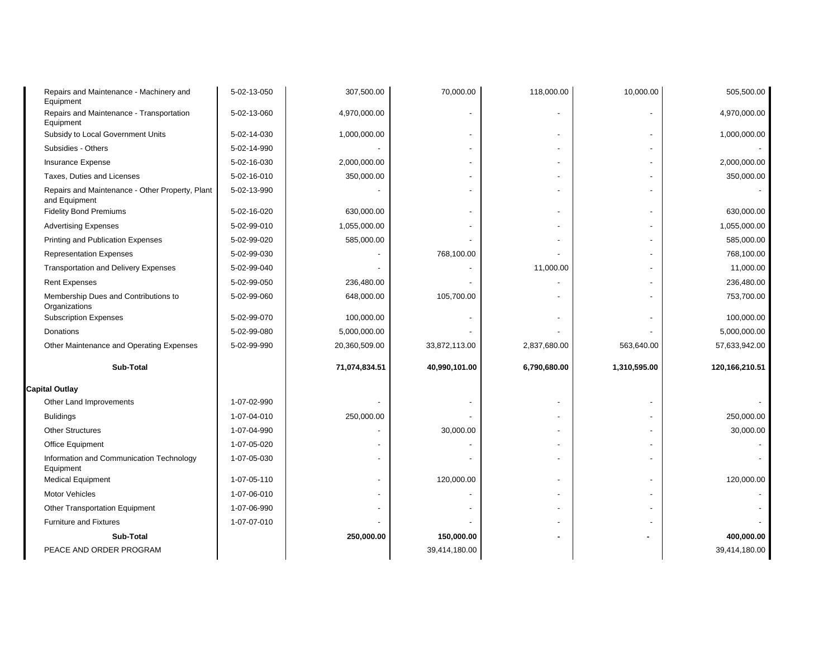| Repairs and Maintenance - Machinery and<br>Equipment             | 5-02-13-050 | 307,500.00               | 70,000.00     | 118,000.00               | 10,000.00    | 505,500.00     |
|------------------------------------------------------------------|-------------|--------------------------|---------------|--------------------------|--------------|----------------|
| Repairs and Maintenance - Transportation<br>Equipment            | 5-02-13-060 | 4,970,000.00             |               |                          |              | 4,970,000.00   |
| Subsidy to Local Government Units                                | 5-02-14-030 | 1,000,000.00             |               | $\overline{a}$           |              | 1,000,000.00   |
| Subsidies - Others                                               | 5-02-14-990 |                          |               |                          |              |                |
| Insurance Expense                                                | 5-02-16-030 | 2,000,000.00             |               | $\overline{a}$           |              | 2,000,000.00   |
| Taxes, Duties and Licenses                                       | 5-02-16-010 | 350,000.00               |               | $\overline{a}$           |              | 350,000.00     |
| Repairs and Maintenance - Other Property, Plant<br>and Equipment | 5-02-13-990 |                          |               |                          |              |                |
| <b>Fidelity Bond Premiums</b>                                    | 5-02-16-020 | 630,000.00               |               | $\overline{\phantom{a}}$ |              | 630.000.00     |
| <b>Advertising Expenses</b>                                      | 5-02-99-010 | 1,055,000.00             |               |                          |              | 1,055,000.00   |
| Printing and Publication Expenses                                | 5-02-99-020 | 585,000.00               |               |                          |              | 585,000.00     |
| <b>Representation Expenses</b>                                   | 5-02-99-030 |                          | 768,100.00    |                          |              | 768,100.00     |
| <b>Transportation and Delivery Expenses</b>                      | 5-02-99-040 |                          |               | 11,000.00                |              | 11,000.00      |
| <b>Rent Expenses</b>                                             | 5-02-99-050 | 236,480.00               |               |                          |              | 236,480.00     |
| Membership Dues and Contributions to<br>Organizations            | 5-02-99-060 | 648,000.00               | 105,700.00    |                          |              | 753,700.00     |
| <b>Subscription Expenses</b>                                     | 5-02-99-070 | 100,000.00               |               |                          |              | 100,000.00     |
| Donations                                                        | 5-02-99-080 | 5,000,000.00             |               |                          |              | 5,000,000.00   |
| Other Maintenance and Operating Expenses                         | 5-02-99-990 | 20,360,509.00            | 33,872,113.00 | 2,837,680.00             | 563,640.00   | 57,633,942.00  |
| Sub-Total                                                        |             | 71,074,834.51            | 40,990,101.00 | 6,790,680.00             | 1,310,595.00 | 120,166,210.51 |
| <b>Capital Outlay</b>                                            |             |                          |               |                          |              |                |
| Other Land Improvements                                          | 1-07-02-990 |                          |               | $\blacksquare$           |              |                |
| <b>Bulidings</b>                                                 | 1-07-04-010 | 250,000.00               |               |                          |              | 250,000.00     |
| <b>Other Structures</b>                                          | 1-07-04-990 |                          | 30,000.00     | $\overline{\phantom{a}}$ |              | 30,000.00      |
| Office Equipment                                                 | 1-07-05-020 |                          |               | $\overline{\phantom{a}}$ |              |                |
| Information and Communication Technology<br>Equipment            | 1-07-05-030 |                          |               |                          |              |                |
| <b>Medical Equipment</b>                                         | 1-07-05-110 | $\overline{\phantom{0}}$ | 120,000.00    | $\overline{\phantom{a}}$ |              | 120,000.00     |
| <b>Motor Vehicles</b>                                            | 1-07-06-010 |                          |               | $\overline{\phantom{a}}$ |              |                |
| Other Transportation Equipment                                   | 1-07-06-990 |                          |               | $\overline{\phantom{a}}$ |              |                |
| Furniture and Fixtures                                           | 1-07-07-010 |                          |               |                          |              |                |
| Sub-Total                                                        |             | 250,000.00               | 150,000.00    |                          |              | 400,000.00     |
| PEACE AND ORDER PROGRAM                                          |             |                          | 39,414,180.00 |                          |              | 39,414,180.00  |
|                                                                  |             |                          |               |                          |              |                |